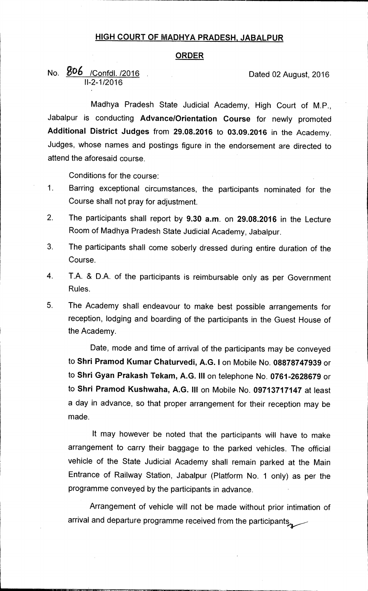## **HIGH COURT OF MADHYA PRADESH, JABALPUR**

## **ORDER**

No. **806** / Confdl. /2016 **Dated 02 August, 2016** 11-2-1/2016

Madhya Pradesh State Judicial Academy, High Court of M.P., Jabalpur is conducting **Advance/Orientation Course** for newly promoted **Additional District Judges** from **29.08.2016** to **03.09.2016** in the Academy. Judges, whose names and postings figure in the endorsement are directed to attend the aforesaid course.

Conditions for the course:

- 1. Barring exceptional circumstances, the participants nominated for the Course shall not pray for adjustment.
- 2. The participants shall report by **9.30 a.m.** on **29.08.2016** in the Lecture Room of Madhya Pradesh State Judicial Academy, Jabalpur.
- 3. The participants shall come soberly dressed during entire duration of the Course.
- 4. T.A. & D.A. of the participants is reimbursable only as per Government Rules.
- 5. The Academy shall endeavour to make best possible arrangements for reception, lodging and boarding of the participants in the Guest House of the Academy.

Date, mode and time of arrival of the participants may be conveyed to **Shri Pramod Kumar Chaturvedi, A.G. I** on Mobile No. **08878747939** or to **Shri Gyan Prakash Tekam, A.G. III** on telephone No. **0761-2628679** or to **Shri Pramod Kushwaha, A.G. III** on Mobile No. **09713717147** at least a day in advance, so that proper arrangement for their reception may be made.

It may however be noted that the participants will have to make arrangement to carry their baggage to the parked vehicles. The official vehicle of the State Judicial Academy shall remain parked at the Main Entrance of Railway Station, Jabalpur (Platform No. 1 only) as per the programme conveyed by the participants in advance.

Arrangement of vehicle will not be made without prior intimation of arrival and departure programme received from the participants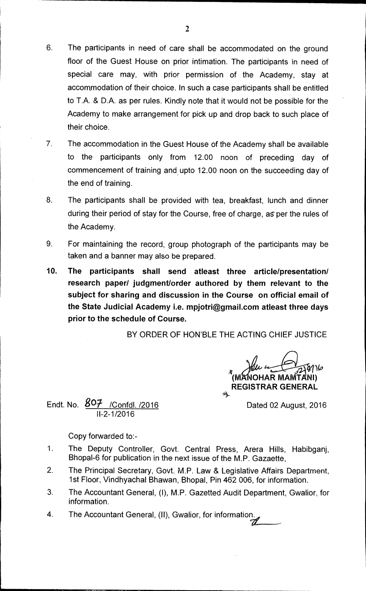- 6. The participants in need of care shall be accommodated on the ground floor of the Guest House on prior intimation. The participants in need of special care may, with prior permission of the Academy, stay at accommodation of their choice. In such a case participants shall be entitled to T.A. & D.A. as per rules. Kindly note that it would not be possible for the Academy to make arrangement for pick up and drop back to such place of their choice.
- 7. The accommodation in the Guest House of the Academy shall be available to the participants only from 12.00 noon of preceding day of commencement of training and upto 12.00 noon on the succeeding day of the end of training.
- 8. The participants shall be provided with tea, breakfast, lunch and dinner during their period of stay for the Course, free of charge, as per the rules of the Academy.
- 9. For maintaining the record, group photograph of the participants may be taken and a banner may also be prepared.
- **10. The participants shall send atleast three article/presentation/ research paper/ judgment/order authored by them relevant to the subject for sharing and discussion in the Course on official email of the State Judicial Academy i.e. mpjotri@gmail.comatleast three days prior to the schedule of Course.**

BY ORDER OF HON'BLE THE ACTING CHIEF JUSTICE

**MANOHAR MAP REGISTRAR GENERAL** 

Endt. No.  $\frac{807}{1000}$  / Confdl. /2016 11-2-1/2016

Copy forwarded to:-

- 1. The Deputy Controller, Govt. Central Press, Arera Hills, Habibganj, Bhopal-6 for publication in the next issue of the M.P. Gazaette,
- 2. The Principal Secretary, Govt. M.P. Law & Legislative Affairs Department, 1st Floor, Vindhyachal Bhawan, Bhopal, Pin 462 006, for information.
- 3. The Accountant General, (1), M.P. Gazetted Audit Department, Gwalior, for information.
- 4. The Accountant General, (II), Gwalior, for information.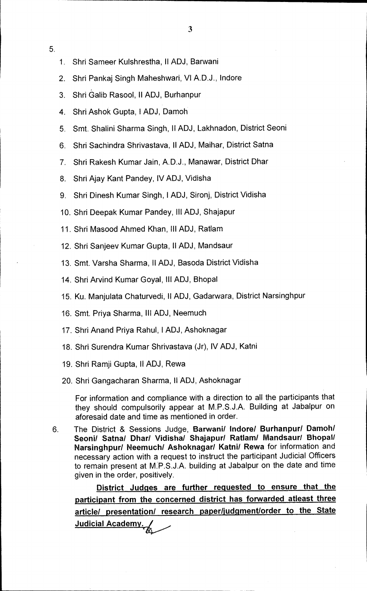- 5.
- 1. Shri Sameer Kulshrestha, II ADJ, Barwani
- 2. Shri Pankaj Singh Maheshwari, VI A.D.J., Indore
- 3. Shri Galib Rasool, II ADJ, Burhanpur
- 4. Shri Ashok Gupta, I ADJ, Damoh
- 5. Smt. Shalini Sharma Singh, II ADJ, Lakhnadon, District Seoni
- 6. Shri Sachindra Shrivastava, II ADJ, Maihar, District Satna
- 7. Shri Rakesh Kumar Jain, A.D.J., Manawar, District Dhar
- 8. Shri Ajay Kant Pandey, IV ADJ, Vidisha
- 9. Shri Dinesh Kumar Singh, I ADJ, Sironj, District Vidisha
- 10. Shri Deepak Kumar Pandey, III ADJ, Shajapur
- 11. Shri Masood Ahmed Khan, III ADJ, Ratlam
- 12. Shri Sanjeev Kumar Gupta, II ADJ, Mandsaur
- 13. Smt. Varsha Sharma, II ADJ, Basoda District Vidisha
- 14. Shri Arvind Kumar Goyal, III ADJ, Bhopal
- 15. Ku. Manjulata Chaturvedi, II ADJ, Gadarwara, District Narsinghpur
- 16. Smt. Priya Sharma, Ill ADJ, Neemuch
- 17. Shri Anand Priya Rahul, I ADJ, Ashoknagar
- 18. Shri Surendra Kumar Shrivastava (Jr), IV ADJ, Katni
- 19. Shri Ramji Gupta, II ADJ, Rewa
- 20. Shri Gangacharan Sharma, II ADJ, Ashoknagar

For information and compliance with a direction to all the participants that they should compulsorily appear at M.P.S.J.A. Building at Jabalpur on aforesaid date and time as mentioned in order.

6. The District & Sessions Judge, **Barwani/ Indore/ Burhanpur/ Damoh/ Seoni/ Satna/ Dhar/ Vidisha/ Shajapur/ Ratlam/ Mandsauri Bhopal/ Narsinghpur/ Neemuch/ Ashoknagar/ Katni/ Rewa** for information and necessary action with a request to instruct the participant Judicial Officers to remain present at M.P.S.J.A. building at Jabalpur on the date and time given in the order, positively.

**District Judges are further requested to ensure that the participant from the concerned district has forwarded atleast three article/ presentation/ research paper/judgment/order to the State Judicial Academy**